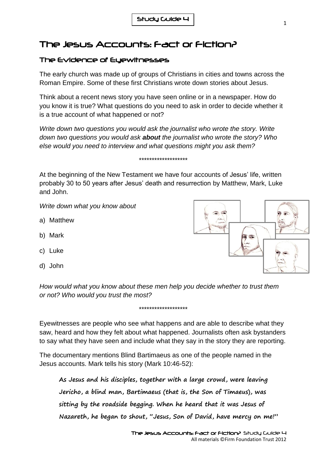## The Jesus Accounts: Fact or Fiction?

## The Evidence of Eyewitnesses

The early church was made up of groups of Christians in cities and towns across the Roman Empire. Some of these first Christians wrote down stories about Jesus.

Think about a recent news story you have seen online or in a newspaper. How do you know it is true? What questions do you need to ask in order to decide whether it is a true account of what happened or not?

*Write down two questions you would ask the journalist who wrote the story. Write down two questions you would ask about the journalist who wrote the story? Who else would you need to interview and what questions might you ask them?*

## *\*\*\*\*\*\*\*\*\*\*\*\*\*\*\*\*\*\*\**

At the beginning of the New Testament we have four accounts of Jesus' life, written probably 30 to 50 years after Jesus' death and resurrection by Matthew, Mark, Luke and John.

*Write down what you know about*

- a) Matthew
- b) Mark
- c) Luke
- d) John

*How would what you know about these men help you decide whether to trust them or not? Who would you trust the most?*

Eyewitnesses are people who see what happens and are able to describe what they saw, heard and how they felt about what happened. Journalists often ask bystanders to say what they have seen and include what they say in the story they are reporting.

*\*\*\*\*\*\*\*\*\*\*\*\*\*\*\*\*\*\*\**

The documentary mentions Blind Bartimaeus as one of the people named in the Jesus accounts. Mark tells his story (Mark 10:46-52):

**As Jesus and his disciples, together with a large crowd, were leaving Jericho, a blind man, Bartimaeus (that is, the Son of Timaeus), was sitting by the roadside begging. When he heard that it was Jesus of Nazareth, he began to shout, "Jesus, Son of David, have mercy on me!"**